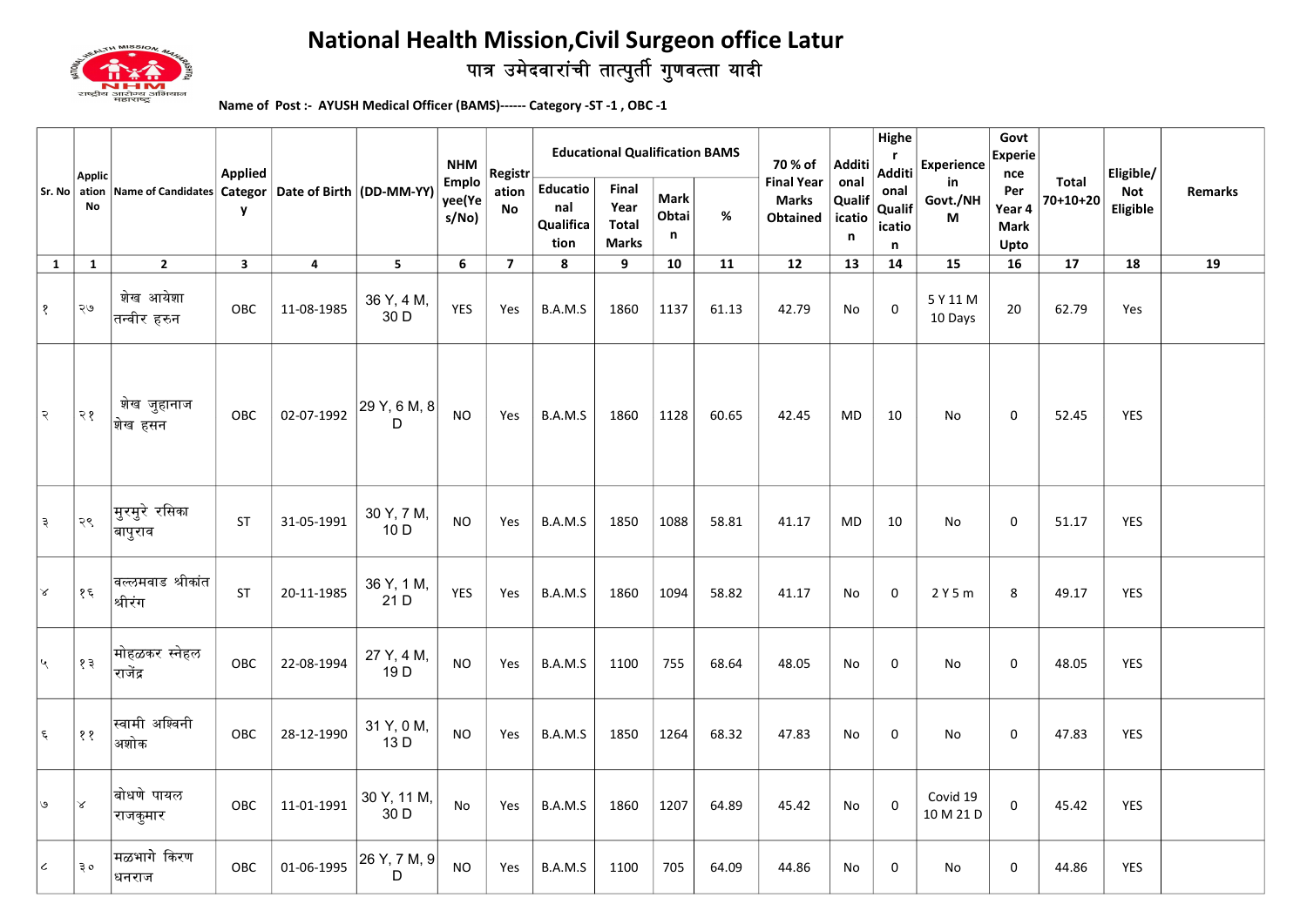

## पात्र उमेदवारांची तात्पुर्ती गुणवत्ता यादी National Health Mission,Civil Surgeon office Latur

Name of Post :- AYUSH Medical Officer (BAMS)------ Category -ST -1 , OBC -1

|                             | <b>Applic</b><br>Sr. No ation<br>No | Name of Candidates Categor   Date of Birth   (DD-MM-YY) | <b>Applied</b><br>y |            |                     | <b>NHM</b><br><b>Emplo</b><br>yee(Ye<br>s/No) | Registr<br>ation<br>No  | <b>Educational Qualification BAMS</b>       |                                               |                           |       | 70 % of                                              | Additi                             | Highe<br>r.<br>Additi    | <b>Experience</b>     | Govt<br><b>Experie</b><br>nce        |                   | Eligible/              |         |
|-----------------------------|-------------------------------------|---------------------------------------------------------|---------------------|------------|---------------------|-----------------------------------------------|-------------------------|---------------------------------------------|-----------------------------------------------|---------------------------|-------|------------------------------------------------------|------------------------------------|--------------------------|-----------------------|--------------------------------------|-------------------|------------------------|---------|
|                             |                                     |                                                         |                     |            |                     |                                               |                         | <b>Educatio</b><br>nal<br>Qualifica<br>tion | Final<br>Year<br><b>Total</b><br><b>Marks</b> | <b>Mark</b><br>Obtai<br>n | %     | <b>Final Year</b><br><b>Marks</b><br><b>Obtained</b> | onal<br>Qualif<br>icatio<br>n<br>n | onal<br>Qualif<br>icatio | in<br>Govt./NH<br>М   | Per<br>Year 4<br><b>Mark</b><br>Upto | Total<br>70+10+20 | <b>Not</b><br>Eligible | Remarks |
| 1                           | 1                                   | $\mathbf{2}$                                            | $\mathbf{3}$        | 4          | 5                   | 6                                             | $\overline{\mathbf{z}}$ | 8                                           | 9                                             | 10                        | 11    | 12                                                   | 13                                 | 14                       | 15                    | 16                                   | 17                | 18                     | 19      |
| १                           | ২७                                  | शेख आयेशा<br>∣तन्वीर हरुन                               | OBC                 | 11-08-1985 | 36 Y, 4 M,<br>30 D  | YES                                           | Yes                     | B.A.M.S                                     | 1860                                          | 1137                      | 61.13 | 42.79                                                | No                                 | $\mathsf 0$              | 5 Y 11 M<br>10 Days   | 20                                   | 62.79             | Yes                    |         |
| २                           | २१                                  | शेख जुहानाज<br>∣शेख हसन                                 | OBC                 | 02-07-1992 | 29 Y, 6 M, 8<br>D   | NO.                                           | Yes                     | B.A.M.S                                     | 1860                                          | 1128                      | 60.65 | 42.45                                                | <b>MD</b>                          | 10                       | No                    | 0                                    | 52.45             | <b>YES</b>             |         |
| ३                           | २९                                  | $\left $ मुरमुरे रसिका<br>∣बापुराव                      | <b>ST</b>           | 31-05-1991 | 30 Y, 7 M,<br>10 D  | <b>NO</b>                                     | Yes                     | B.A.M.S                                     | 1850                                          | 1088                      | 58.81 | 41.17                                                | MD                                 | 10                       | No                    | 0                                    | 51.17             | YES                    |         |
| $\propto$                   | १६                                  | वल्लमवाड श्रीकांत<br>∣श्रीरंग                           | ST                  | 20-11-1985 | 36 Y, 1 M,<br>21 D  | YES                                           | Yes                     | B.A.M.S                                     | 1860                                          | 1094                      | 58.82 | 41.17                                                | No                                 | $\mathbf 0$              | 2Y5m                  | 8                                    | 49.17             | <b>YES</b>             |         |
| $\mathcal{L}_{\mathcal{A}}$ | १३                                  | मोहळकर स्नेहल<br>राजेंद्र                               | OBC                 | 22-08-1994 | 27 Y, 4 M,<br>19 D  | <b>NO</b>                                     | Yes                     | B.A.M.S                                     | 1100                                          | 755                       | 68.64 | 48.05                                                | No                                 | 0                        | No                    | 0                                    | 48.05             | <b>YES</b>             |         |
| ६                           | ११                                  | स्वामी अश्विनी<br>अशोक                                  | OBC                 | 28-12-1990 | 31 Y, 0 M,<br>13 D  | <b>NO</b>                                     | Yes                     | B.A.M.S                                     | 1850                                          | 1264                      | 68.32 | 47.83                                                | No                                 | 0                        | No                    | 0                                    | 47.83             | YES                    |         |
| $\mathbf{e}$                | ∣४                                  | ∣बोधणे पायल<br>राजकुमार                                 | OBC                 | 11-01-1991 | 30 Y, 11 M,<br>30 D | No                                            | Yes                     | B.A.M.S                                     | 1860                                          | 1207                      | 64.89 | 45.42                                                | No                                 | $\mathsf 0$              | Covid 19<br>10 M 21 D | $\mathbf 0$                          | 45.42             | YES                    |         |
| $\pmb{\mathcal{L}}$         | ३०                                  | मळभागे किरण<br>धनराज                                    | OBC                 | 01-06-1995 | 26 Y, 7 M, 9<br>D   | <b>NO</b>                                     | Yes                     | B.A.M.S                                     | 1100                                          | 705                       | 64.09 | 44.86                                                | No                                 | 0                        | No                    | 0                                    | 44.86             | <b>YES</b>             |         |